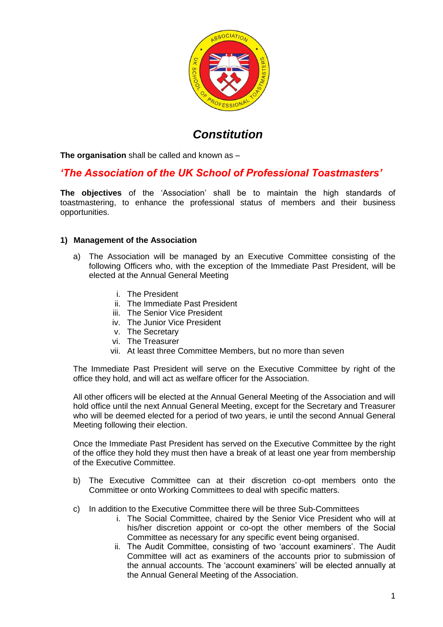

# *Constitution*

**The organisation** shall be called and known as –

# *'The Association of the UK School of Professional Toastmasters'*

**The objectives** of the 'Association' shall be to maintain the high standards of toastmastering, to enhance the professional status of members and their business opportunities.

#### **1) Management of the Association**

- a) The Association will be managed by an Executive Committee consisting of the following Officers who, with the exception of the Immediate Past President, will be elected at the Annual General Meeting
	- i. The President
	- ii. The Immediate Past President
	- iii. The Senior Vice President
	- iv. The Junior Vice President
	- v. The Secretary
	- vi. The Treasurer
	- vii. At least three Committee Members, but no more than seven

The Immediate Past President will serve on the Executive Committee by right of the office they hold, and will act as welfare officer for the Association.

All other officers will be elected at the Annual General Meeting of the Association and will hold office until the next Annual General Meeting, except for the Secretary and Treasurer who will be deemed elected for a period of two years, ie until the second Annual General Meeting following their election.

Once the Immediate Past President has served on the Executive Committee by the right of the office they hold they must then have a break of at least one year from membership of the Executive Committee.

- b) The Executive Committee can at their discretion co-opt members onto the Committee or onto Working Committees to deal with specific matters.
- c) In addition to the Executive Committee there will be three Sub-Committees
	- i. The Social Committee, chaired by the Senior Vice President who will at his/her discretion appoint or co-opt the other members of the Social Committee as necessary for any specific event being organised.
	- ii. The Audit Committee, consisting of two 'account examiners'. The Audit Committee will act as examiners of the accounts prior to submission of the annual accounts. The 'account examiners' will be elected annually at the Annual General Meeting of the Association.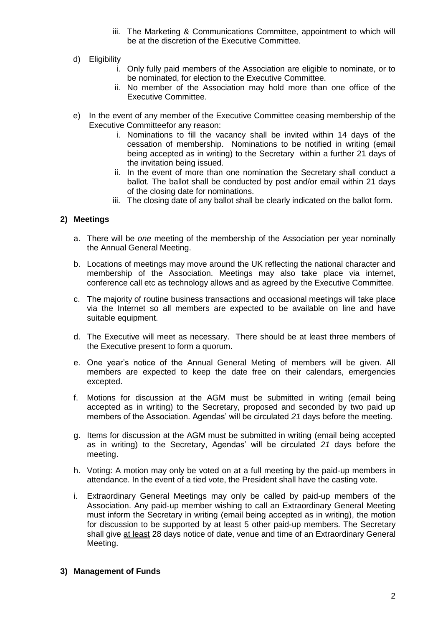- iii. The Marketing & Communications Committee, appointment to which will be at the discretion of the Executive Committee.
- d) Eligibility
	- i. Only fully paid members of the Association are eligible to nominate, or to be nominated, for election to the Executive Committee.
	- ii. No member of the Association may hold more than one office of the Executive Committee.
- e) In the event of any member of the Executive Committee ceasing membership of the Executive Committeefor any reason:
	- i. Nominations to fill the vacancy shall be invited within 14 days of the cessation of membership. Nominations to be notified in writing (email being accepted as in writing) to the Secretary within a further 21 days of the invitation being issued.
	- ii. In the event of more than one nomination the Secretary shall conduct a ballot. The ballot shall be conducted by post and/or email within 21 days of the closing date for nominations.
	- iii. The closing date of any ballot shall be clearly indicated on the ballot form.

# **2) Meetings**

- a. There will be *one* meeting of the membership of the Association per year nominally the Annual General Meeting.
- b. Locations of meetings may move around the UK reflecting the national character and membership of the Association. Meetings may also take place via internet, conference call etc as technology allows and as agreed by the Executive Committee.
- c. The majority of routine business transactions and occasional meetings will take place via the Internet so all members are expected to be available on line and have suitable equipment.
- d. The Executive will meet as necessary. There should be at least three members of the Executive present to form a quorum.
- e. One year's notice of the Annual General Meting of members will be given. All members are expected to keep the date free on their calendars, emergencies excepted.
- f. Motions for discussion at the AGM must be submitted in writing (email being accepted as in writing) to the Secretary, proposed and seconded by two paid up members of the Association. Agendas' will be circulated *21* days before the meeting.
- g. Items for discussion at the AGM must be submitted in writing (email being accepted as in writing) to the Secretary, Agendas' will be circulated *21* days before the meeting.
- h. Voting: A motion may only be voted on at a full meeting by the paid-up members in attendance. In the event of a tied vote, the President shall have the casting vote.
- i. Extraordinary General Meetings may only be called by paid-up members of the Association. Any paid-up member wishing to call an Extraordinary General Meeting must inform the Secretary in writing (email being accepted as in writing), the motion for discussion to be supported by at least 5 other paid-up members. The Secretary shall give at least 28 days notice of date, venue and time of an Extraordinary General Meeting.

#### **3) Management of Funds**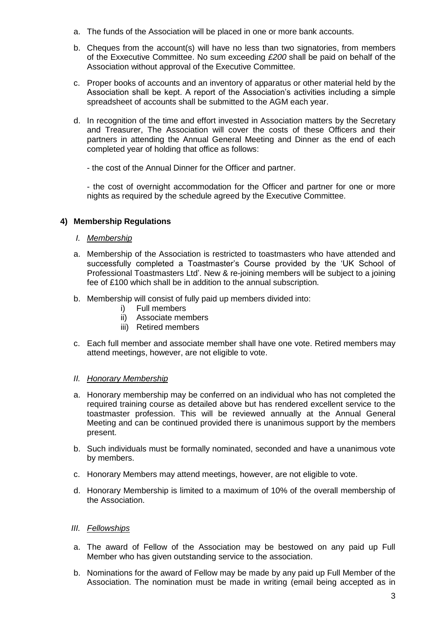- a. The funds of the Association will be placed in one or more bank accounts.
- b. Cheques from the account(s) will have no less than two signatories, from members of the Exxecutive Committee. No sum exceeding *£200* shall be paid on behalf of the Association without approval of the Executive Committee.
- c. Proper books of accounts and an inventory of apparatus or other material held by the Association shall be kept. A report of the Association's activities including a simple spreadsheet of accounts shall be submitted to the AGM each year.
- d. In recognition of the time and effort invested in Association matters by the Secretary and Treasurer, The Association will cover the costs of these Officers and their partners in attending the Annual General Meeting and Dinner as the end of each completed year of holding that office as follows:
	- the cost of the Annual Dinner for the Officer and partner.

- the cost of overnight accommodation for the Officer and partner for one or more nights as required by the schedule agreed by the Executive Committee.

# **4) Membership Regulations**

- *I. Membership*
- a. Membership of the Association is restricted to toastmasters who have attended and successfully completed a Toastmaster's Course provided by the 'UK School of Professional Toastmasters Ltd'. New & re-joining members will be subject to a joining fee of £100 which shall be in addition to the annual subscription.
- b. Membership will consist of fully paid up members divided into:
	- i) Full members
	- ii) Associate members
	- iii) Retired members
- c. Each full member and associate member shall have one vote. Retired members may attend meetings, however, are not eligible to vote.

#### *II. Honorary Membership*

- a. Honorary membership may be conferred on an individual who has not completed the required training course as detailed above but has rendered excellent service to the toastmaster profession. This will be reviewed annually at the Annual General Meeting and can be continued provided there is unanimous support by the members present.
- b. Such individuals must be formally nominated, seconded and have a unanimous vote by members.
- c. Honorary Members may attend meetings, however, are not eligible to vote.
- d. Honorary Membership is limited to a maximum of 10% of the overall membership of the Association.
- *III. Fellowships*
- a. The award of Fellow of the Association may be bestowed on any paid up Full Member who has given outstanding service to the association.
- b. Nominations for the award of Fellow may be made by any paid up Full Member of the Association. The nomination must be made in writing (email being accepted as in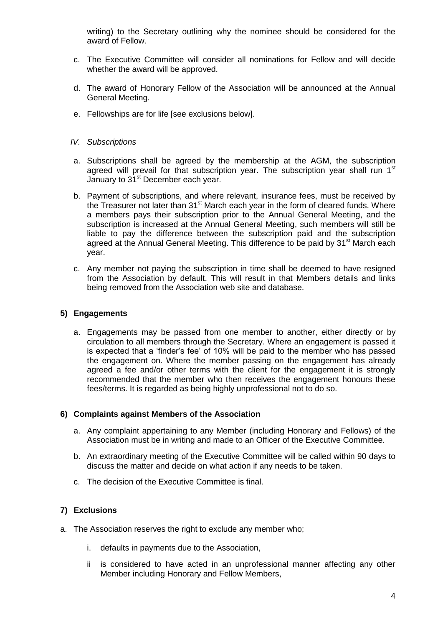writing) to the Secretary outlining why the nominee should be considered for the award of Fellow.

- c. The Executive Committee will consider all nominations for Fellow and will decide whether the award will be approved.
- d. The award of Honorary Fellow of the Association will be announced at the Annual General Meeting.
- e. Fellowships are for life [see exclusions below].

#### *IV. Subscriptions*

- a. Subscriptions shall be agreed by the membership at the AGM, the subscription agreed will prevail for that subscription year. The subscription year shall run 1<sup>st</sup> January to 31<sup>st</sup> December each year.
- b. Payment of subscriptions, and where relevant, insurance fees, must be received by the Treasurer not later than  $31<sup>st</sup>$  March each year in the form of cleared funds. Where a members pays their subscription prior to the Annual General Meeting, and the subscription is increased at the Annual General Meeting, such members will still be liable to pay the difference between the subscription paid and the subscription agreed at the Annual General Meeting. This difference to be paid by 31<sup>st</sup> March each year.
- c. Any member not paying the subscription in time shall be deemed to have resigned from the Association by default. This will result in that Members details and links being removed from the Association web site and database.

#### **5) Engagements**

a. Engagements may be passed from one member to another, either directly or by circulation to all members through the Secretary. Where an engagement is passed it is expected that a 'finder's fee' of 10% will be paid to the member who has passed the engagement on. Where the member passing on the engagement has already agreed a fee and/or other terms with the client for the engagement it is strongly recommended that the member who then receives the engagement honours these fees/terms. It is regarded as being highly unprofessional not to do so.

#### **6) Complaints against Members of the Association**

- a. Any complaint appertaining to any Member (including Honorary and Fellows) of the Association must be in writing and made to an Officer of the Executive Committee.
- b. An extraordinary meeting of the Executive Committee will be called within 90 days to discuss the matter and decide on what action if any needs to be taken.
- c. The decision of the Executive Committee is final.

# **7) Exclusions**

- a. The Association reserves the right to exclude any member who;
	- i. defaults in payments due to the Association,
	- ii is considered to have acted in an unprofessional manner affecting any other Member including Honorary and Fellow Members,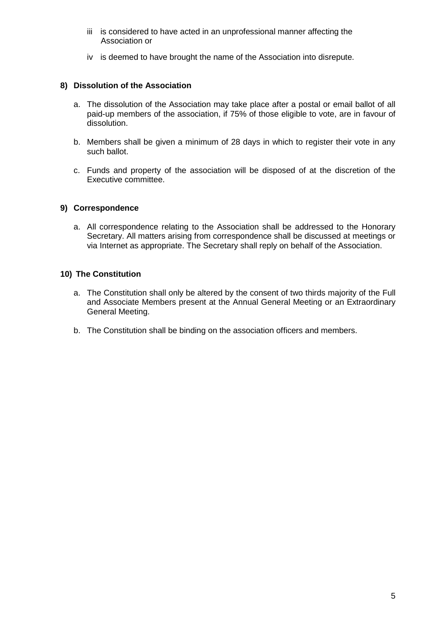- iii is considered to have acted in an unprofessional manner affecting the Association or
- iv is deemed to have brought the name of the Association into disrepute.

### **8) Dissolution of the Association**

- a. The dissolution of the Association may take place after a postal or email ballot of all paid-up members of the association, if 75% of those eligible to vote, are in favour of dissolution.
- b. Members shall be given a minimum of 28 days in which to register their vote in any such ballot.
- c. Funds and property of the association will be disposed of at the discretion of the Executive committee.

#### **9) Correspondence**

a. All correspondence relating to the Association shall be addressed to the Honorary Secretary. All matters arising from correspondence shall be discussed at meetings or via Internet as appropriate. The Secretary shall reply on behalf of the Association.

#### **10) The Constitution**

- a. The Constitution shall only be altered by the consent of two thirds majority of the Full and Associate Members present at the Annual General Meeting or an Extraordinary General Meeting.
- b. The Constitution shall be binding on the association officers and members.